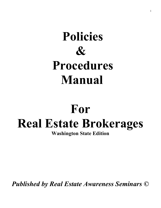## Policies  $\mathcal{X}$  Procedures Manual

# For Real Estate Brokerages

Washington State Edition

Published by Real Estate Awareness Seminars ©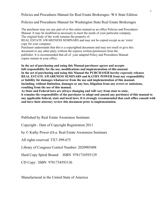Policies and Procedures Manual for Real Estate Brokerages- WA State Edition

#### Policies and Procedures Manual for Washington State Real Estate Brokerages

The purchaser may use any part of or this entire manual as an office Policies and Procedures Manual. It may be modified as necessary to meet the needs of your particular company. The original body of the work remains the property of

REAL ESTATE AWARENESS SEMINARS and may not be copied except as an 'extra' copy for your company.

Purchaser understands that this is a copyrighted document and may not resell or give this document to any other party without the express written permission from the publisher. It is recommended that all of your adapted Policy and Procedures Manual copies remain in your office.

In the act of purchasing and using this Manual purchaser agrees and accepts full responsibility for the use, modifications and implementation of this manual. In the act of purchasing and using this Manual the PURCHASER hereby expressly releases REAL ESTATE AWARENESS SEMINARS and KATHY POWER from any responsibility or liability for damages whatsoever from the use and implementation of this manual. Including, without limitation, damages or any loss, litigation from any errors or omissions, resulting from the use of this manual.

As State and Federal laws are always changing and will vary from state to state, it remains the responsibility of the purchaser to adapt and amend any portion(s) of this manual to any applicable federal, state and local laws. It is strongly recommended that each office consult with and have their attorney review this document prior to implementation.

Published by Real Estate Awareness Seminars

Copyright - Date of Copyright Registration 2011

by © Kathy Power d.b.a. Real Estate Awareness Seminars

All rights reserved. TX7-399-675

Library of Congress Control Number: 2020905408

Hard Copy Spiral Bound: ISBN 9781734593129

CD Copy: ISBN 9781734593136

Manufactured in the United State of America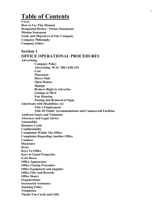### Table of Contents

**Cover** How to Use This Manual Designated Broker / Owner Statements Mission Statement Goals and Objectives of Our Company Company Philosophy Company Ethics

#### Section 1 OFFICE OPERATIONAL PROCEDURES Advertising Company Policy Advertising WAC 308-124B-210 **Cost**  Placement Direct Mail Open Houses Signage

Brokers Right to Advertise Listings to MLS Fair Housing Posting and Removal of Signs Americans with Disabilities Act Title I Employment Title III Public Accommodations and Commercial Facilities Antitrust Issues and Violations Attorneys and Legal Advice Automobile Business Cards Confidentiality Complaints Within The Office Complaints Regarding Another Office Conduct **Disclosure Dress** Keys To Office Keys to Listed Properties Lock Boxes Office Appearance Office Closing Procedure Office Equipment and Supplies Office Files and Records Office Hours **Organizations** Secretarial Assistance Smoking Policy Telephones Thank-You Cards and Gifts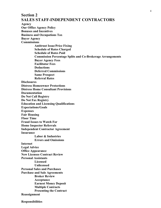#### Section 2 SALES STAFF-INDEPENDENT CONTRACTORS

Agency Our Office Agency Policy Bonuses and Incentives Business and Occupations Tax Buyer Agency Commissions Antitrust Issue/Price Fixing Schedule of Rates Charged Schedule of Rates Paid Commission Percentage Splits and Co-Brokerage Arrangements Buyer Agency Fees Facilitator Fees **Deductions**  Deferred Commissions Same Prospect Referral Rates **Disclosures** Distress Homeowner Protections Distress Home Consultant Provisions Documentation Do Not Call Registry Do Not Fax Registry Education and Licensing Qualifications Expectations/Goals Expenses Fair Housing Floor Time Fraud Issues to Watch For Home Inspector Referrals Independent Contractor Agreement Insurance Labor & Industries Errors and Omissions Internet Legal Advice Office Appearance New Licensee Contract Review Personal Assistants **Licensed**  Unlicensed Personal Sales and Purchases Purchase and Sale Agreements Broker Review Acceptance Earnest Money Deposit Multiple Contracts Presenting the Contract Reassignment

Responsibilities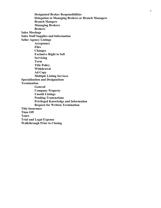Designated Broker Responsibilities Delegation to Managing Brokers or Branch Managers Branch Mangers Managing Brokers **Brokers** Sales Meetings Sales Staff Supplies and Information Seller Agency Listings Acceptance **Files**  Changes Exclusive Right to Sell Servicing Term Title Policy Withdrawal Ad Copy Multiple Listing Services Specialization and Designations Termination General Company Property Unsold Listings Pending Transactions Privileged Knowledge and Information Request for Written Termination Title Insurance Time Off Tours Trial and Legal Expense Walkthrough Prior to Closing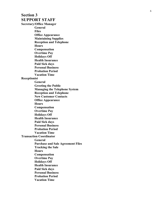#### Section 3 SUPPORT STAFF Secretary/Office Manager

 General **Files** Office Appearance Maintaining Supplies Reception and Telephone Hours Compensation Overtime Pay Holidays Off Health Insurance Paid Sick days Personal Business Probation Period Vacation Time

#### Receptionist

 General Greeting the Public Managing the Telephone System Reception and Telephone New Customer Contacts Office Appearance Hours Compensation Overtime Pay Holidays Off Health Insurance Paid Sick days Personal Business Probation Period Vacation Time Transaction Coordinator General Purchase and Sale Agreement Files Tracking the Sale **Hours** Compensation Overtime Pay Holidays Off Health Insurance Paid Sick days Personal Business Probation Period Vacation Time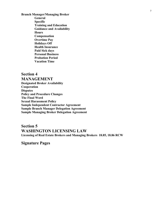Branch Manager/Managing Broker General Specific Training and Education Guidance and Availability **Hours** Compensation Overtime Pay Holidays Off Health Insurance Paid Sick days Personal Business Probation Period Vacation Time

Section 4 MANAGEMENT Designated Broker Availability Cooperation **Disputes** Policy and Procedure Changes The Final Word Sexual Harassment Policy Sample Independent Contractor Agreement Sample Branch Manager Delegation Agreement Sample Managing Broker Delegation Agreement

Section 5 WASHINGTON LICENSING LAW Licensing of Real Estate Brokers and Managing Brokers 18.85, 18.86 RCW

Signature Pages